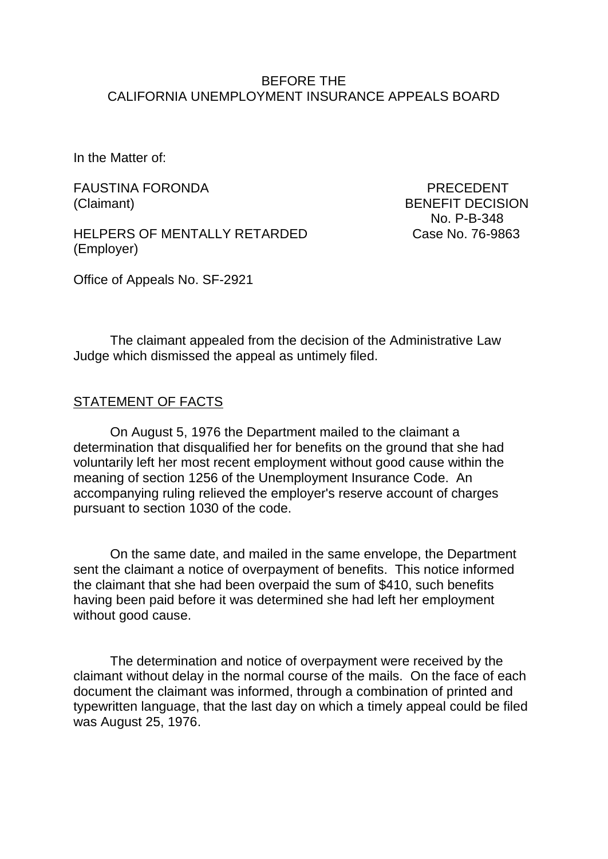### BEFORE THE CALIFORNIA UNEMPLOYMENT INSURANCE APPEALS BOARD

In the Matter of:

FAUSTINA FORONDA DE EN ENGLACIÓN DE PRECEDENT (Claimant) BENEFIT DECISION

HELPERS OF MENTALLY RETARDED Case No. 76-9863 (Employer)

No. P-B-348

Office of Appeals No. SF-2921

The claimant appealed from the decision of the Administrative Law Judge which dismissed the appeal as untimely filed.

### STATEMENT OF FACTS

On August 5, 1976 the Department mailed to the claimant a determination that disqualified her for benefits on the ground that she had voluntarily left her most recent employment without good cause within the meaning of section 1256 of the Unemployment Insurance Code. An accompanying ruling relieved the employer's reserve account of charges pursuant to section 1030 of the code.

On the same date, and mailed in the same envelope, the Department sent the claimant a notice of overpayment of benefits. This notice informed the claimant that she had been overpaid the sum of \$410, such benefits having been paid before it was determined she had left her employment without good cause.

The determination and notice of overpayment were received by the claimant without delay in the normal course of the mails. On the face of each document the claimant was informed, through a combination of printed and typewritten language, that the last day on which a timely appeal could be filed was August 25, 1976.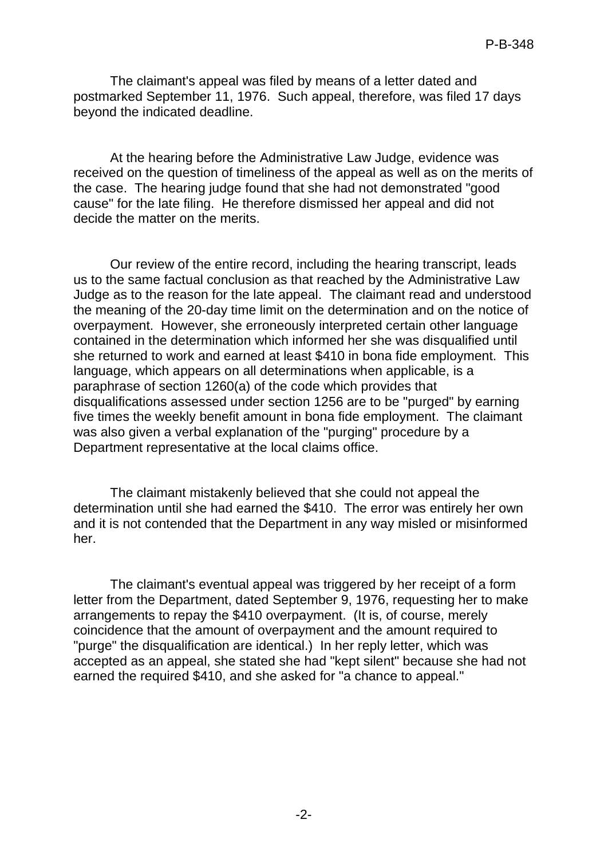The claimant's appeal was filed by means of a letter dated and postmarked September 11, 1976. Such appeal, therefore, was filed 17 days beyond the indicated deadline.

At the hearing before the Administrative Law Judge, evidence was received on the question of timeliness of the appeal as well as on the merits of the case. The hearing judge found that she had not demonstrated "good cause" for the late filing. He therefore dismissed her appeal and did not decide the matter on the merits.

Our review of the entire record, including the hearing transcript, leads us to the same factual conclusion as that reached by the Administrative Law Judge as to the reason for the late appeal. The claimant read and understood the meaning of the 20-day time limit on the determination and on the notice of overpayment. However, she erroneously interpreted certain other language contained in the determination which informed her she was disqualified until she returned to work and earned at least \$410 in bona fide employment. This language, which appears on all determinations when applicable, is a paraphrase of section 1260(a) of the code which provides that disqualifications assessed under section 1256 are to be "purged" by earning five times the weekly benefit amount in bona fide employment. The claimant was also given a verbal explanation of the "purging" procedure by a Department representative at the local claims office.

The claimant mistakenly believed that she could not appeal the determination until she had earned the \$410. The error was entirely her own and it is not contended that the Department in any way misled or misinformed her.

The claimant's eventual appeal was triggered by her receipt of a form letter from the Department, dated September 9, 1976, requesting her to make arrangements to repay the \$410 overpayment. (It is, of course, merely coincidence that the amount of overpayment and the amount required to "purge" the disqualification are identical.) In her reply letter, which was accepted as an appeal, she stated she had "kept silent" because she had not earned the required \$410, and she asked for "a chance to appeal."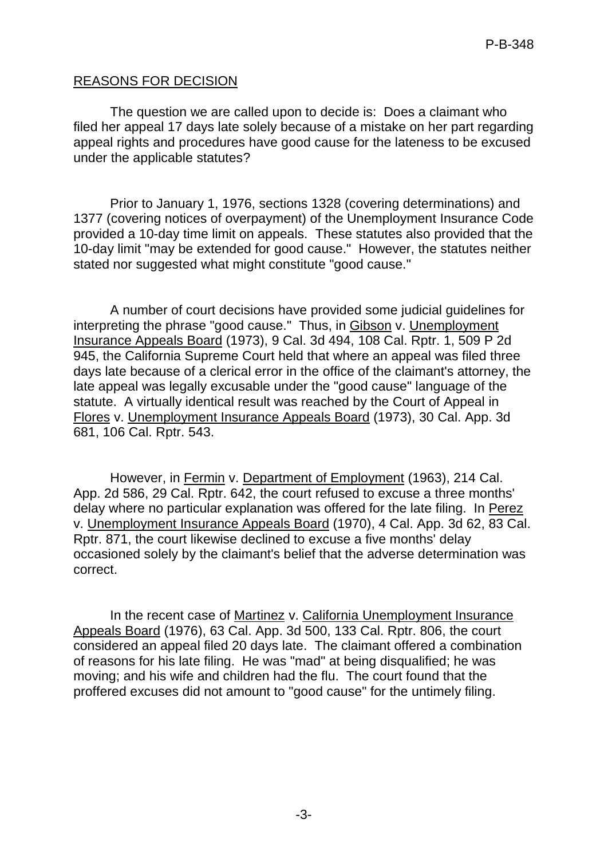## REASONS FOR DECISION

The question we are called upon to decide is: Does a claimant who filed her appeal 17 days late solely because of a mistake on her part regarding appeal rights and procedures have good cause for the lateness to be excused under the applicable statutes?

Prior to January 1, 1976, sections 1328 (covering determinations) and 1377 (covering notices of overpayment) of the Unemployment Insurance Code provided a 10-day time limit on appeals. These statutes also provided that the 10-day limit "may be extended for good cause." However, the statutes neither stated nor suggested what might constitute "good cause."

A number of court decisions have provided some judicial guidelines for interpreting the phrase "good cause." Thus, in Gibson v. Unemployment Insurance Appeals Board (1973), 9 Cal. 3d 494, 108 Cal. Rptr. 1, 509 P 2d 945, the California Supreme Court held that where an appeal was filed three days late because of a clerical error in the office of the claimant's attorney, the late appeal was legally excusable under the "good cause" language of the statute. A virtually identical result was reached by the Court of Appeal in Flores v. Unemployment Insurance Appeals Board (1973), 30 Cal. App. 3d 681, 106 Cal. Rptr. 543.

However, in Fermin v. Department of Employment (1963), 214 Cal. App. 2d 586, 29 Cal. Rptr. 642, the court refused to excuse a three months' delay where no particular explanation was offered for the late filing. In Perez v. Unemployment Insurance Appeals Board (1970), 4 Cal. App. 3d 62, 83 Cal. Rptr. 871, the court likewise declined to excuse a five months' delay occasioned solely by the claimant's belief that the adverse determination was correct.

In the recent case of Martinez v. California Unemployment Insurance Appeals Board (1976), 63 Cal. App. 3d 500, 133 Cal. Rptr. 806, the court considered an appeal filed 20 days late. The claimant offered a combination of reasons for his late filing. He was "mad" at being disqualified; he was moving; and his wife and children had the flu. The court found that the proffered excuses did not amount to "good cause" for the untimely filing.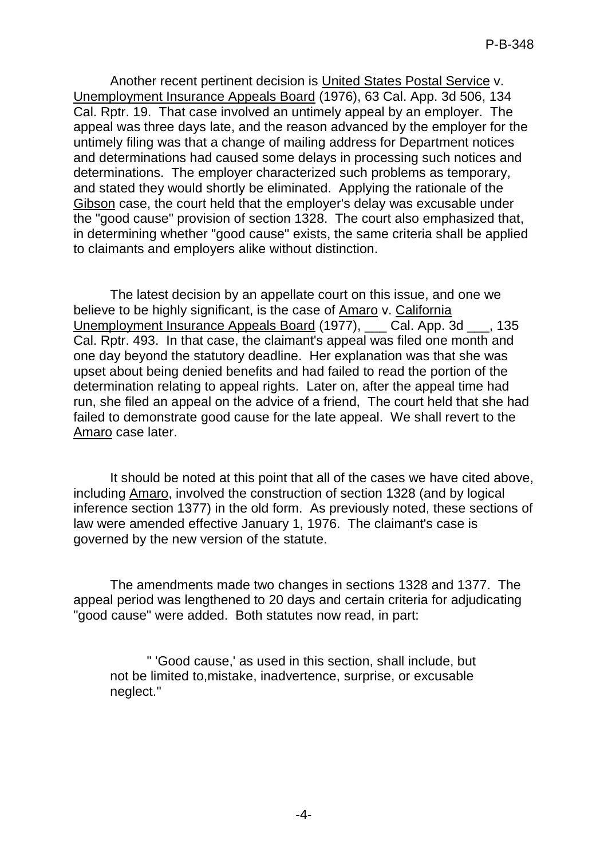Another recent pertinent decision is United States Postal Service v. Unemployment Insurance Appeals Board (1976), 63 Cal. App. 3d 506, 134 Cal. Rptr. 19. That case involved an untimely appeal by an employer. The appeal was three days late, and the reason advanced by the employer for the untimely filing was that a change of mailing address for Department notices and determinations had caused some delays in processing such notices and determinations. The employer characterized such problems as temporary, and stated they would shortly be eliminated. Applying the rationale of the Gibson case, the court held that the employer's delay was excusable under the "good cause" provision of section 1328. The court also emphasized that, in determining whether "good cause" exists, the same criteria shall be applied to claimants and employers alike without distinction.

The latest decision by an appellate court on this issue, and one we believe to be highly significant, is the case of Amaro v. California Unemployment Insurance Appeals Board (1977), \_\_\_ Cal. App. 3d \_\_\_, 135 Cal. Rptr. 493. In that case, the claimant's appeal was filed one month and one day beyond the statutory deadline. Her explanation was that she was upset about being denied benefits and had failed to read the portion of the determination relating to appeal rights. Later on, after the appeal time had run, she filed an appeal on the advice of a friend, The court held that she had failed to demonstrate good cause for the late appeal. We shall revert to the Amaro case later.

It should be noted at this point that all of the cases we have cited above, including Amaro, involved the construction of section 1328 (and by logical inference section 1377) in the old form. As previously noted, these sections of law were amended effective January 1, 1976. The claimant's case is governed by the new version of the statute.

The amendments made two changes in sections 1328 and 1377. The appeal period was lengthened to 20 days and certain criteria for adjudicating "good cause" were added. Both statutes now read, in part:

" 'Good cause,' as used in this section, shall include, but not be limited to,mistake, inadvertence, surprise, or excusable neglect."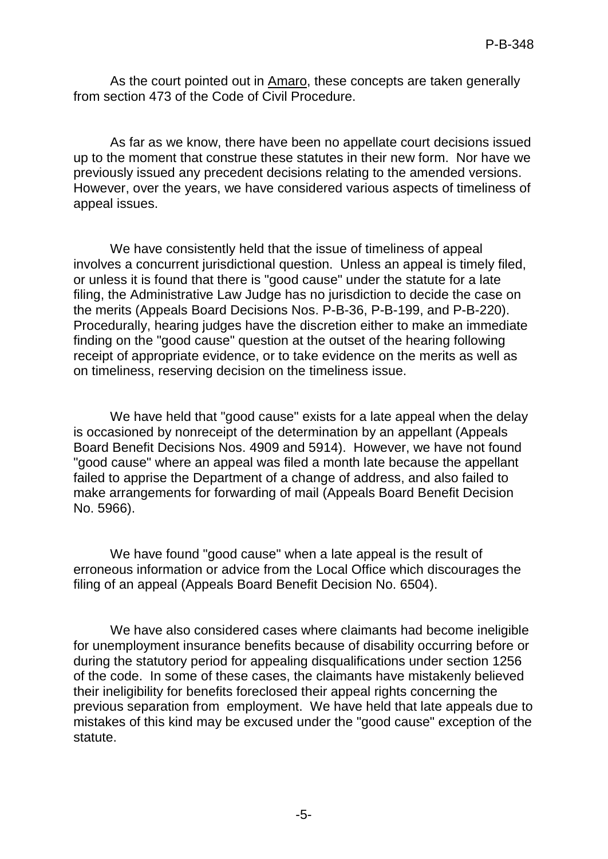As the court pointed out in Amaro, these concepts are taken generally from section 473 of the Code of Civil Procedure.

As far as we know, there have been no appellate court decisions issued up to the moment that construe these statutes in their new form. Nor have we previously issued any precedent decisions relating to the amended versions. However, over the years, we have considered various aspects of timeliness of appeal issues.

We have consistently held that the issue of timeliness of appeal involves a concurrent jurisdictional question. Unless an appeal is timely filed, or unless it is found that there is "good cause" under the statute for a late filing, the Administrative Law Judge has no jurisdiction to decide the case on the merits (Appeals Board Decisions Nos. P-B-36, P-B-199, and P-B-220). Procedurally, hearing judges have the discretion either to make an immediate finding on the "good cause" question at the outset of the hearing following receipt of appropriate evidence, or to take evidence on the merits as well as on timeliness, reserving decision on the timeliness issue.

We have held that "good cause" exists for a late appeal when the delay is occasioned by nonreceipt of the determination by an appellant (Appeals Board Benefit Decisions Nos. 4909 and 5914). However, we have not found "good cause" where an appeal was filed a month late because the appellant failed to apprise the Department of a change of address, and also failed to make arrangements for forwarding of mail (Appeals Board Benefit Decision No. 5966).

We have found "good cause" when a late appeal is the result of erroneous information or advice from the Local Office which discourages the filing of an appeal (Appeals Board Benefit Decision No. 6504).

We have also considered cases where claimants had become ineligible for unemployment insurance benefits because of disability occurring before or during the statutory period for appealing disqualifications under section 1256 of the code. In some of these cases, the claimants have mistakenly believed their ineligibility for benefits foreclosed their appeal rights concerning the previous separation from employment. We have held that late appeals due to mistakes of this kind may be excused under the "good cause" exception of the statute.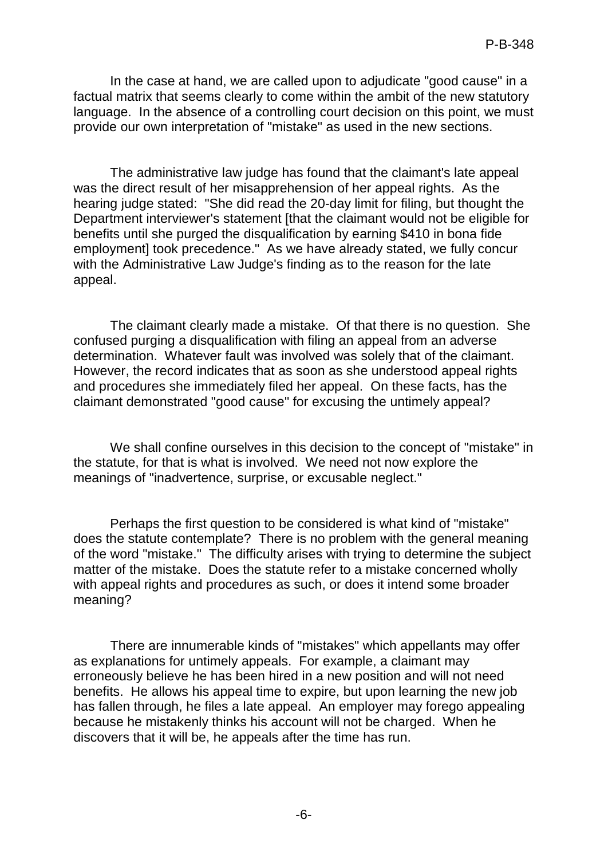In the case at hand, we are called upon to adjudicate "good cause" in a factual matrix that seems clearly to come within the ambit of the new statutory language. In the absence of a controlling court decision on this point, we must provide our own interpretation of "mistake" as used in the new sections.

The administrative law judge has found that the claimant's late appeal was the direct result of her misapprehension of her appeal rights. As the hearing judge stated: "She did read the 20-day limit for filing, but thought the Department interviewer's statement [that the claimant would not be eligible for benefits until she purged the disqualification by earning \$410 in bona fide employment] took precedence." As we have already stated, we fully concur with the Administrative Law Judge's finding as to the reason for the late appeal.

The claimant clearly made a mistake. Of that there is no question. She confused purging a disqualification with filing an appeal from an adverse determination. Whatever fault was involved was solely that of the claimant. However, the record indicates that as soon as she understood appeal rights and procedures she immediately filed her appeal. On these facts, has the claimant demonstrated "good cause" for excusing the untimely appeal?

We shall confine ourselves in this decision to the concept of "mistake" in the statute, for that is what is involved. We need not now explore the meanings of "inadvertence, surprise, or excusable neglect."

Perhaps the first question to be considered is what kind of "mistake" does the statute contemplate? There is no problem with the general meaning of the word "mistake." The difficulty arises with trying to determine the subject matter of the mistake. Does the statute refer to a mistake concerned wholly with appeal rights and procedures as such, or does it intend some broader meaning?

There are innumerable kinds of "mistakes" which appellants may offer as explanations for untimely appeals. For example, a claimant may erroneously believe he has been hired in a new position and will not need benefits. He allows his appeal time to expire, but upon learning the new job has fallen through, he files a late appeal. An employer may forego appealing because he mistakenly thinks his account will not be charged. When he discovers that it will be, he appeals after the time has run.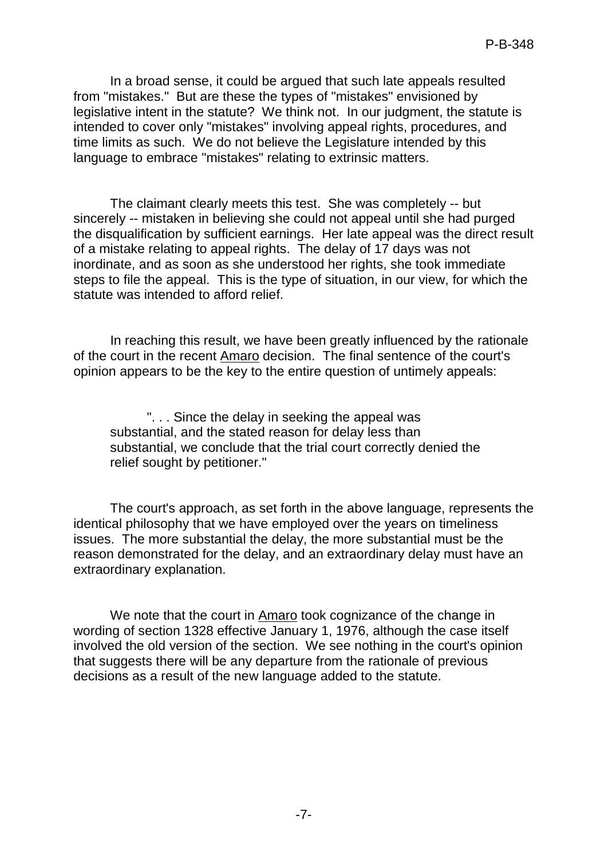In a broad sense, it could be argued that such late appeals resulted from "mistakes." But are these the types of "mistakes" envisioned by legislative intent in the statute? We think not. In our judgment, the statute is intended to cover only "mistakes" involving appeal rights, procedures, and time limits as such. We do not believe the Legislature intended by this language to embrace "mistakes" relating to extrinsic matters.

The claimant clearly meets this test. She was completely -- but sincerely -- mistaken in believing she could not appeal until she had purged the disqualification by sufficient earnings. Her late appeal was the direct result of a mistake relating to appeal rights. The delay of 17 days was not inordinate, and as soon as she understood her rights, she took immediate steps to file the appeal. This is the type of situation, in our view, for which the statute was intended to afford relief.

In reaching this result, we have been greatly influenced by the rationale of the court in the recent Amaro decision. The final sentence of the court's opinion appears to be the key to the entire question of untimely appeals:

". . . Since the delay in seeking the appeal was substantial, and the stated reason for delay less than substantial, we conclude that the trial court correctly denied the relief sought by petitioner."

The court's approach, as set forth in the above language, represents the identical philosophy that we have employed over the years on timeliness issues. The more substantial the delay, the more substantial must be the reason demonstrated for the delay, and an extraordinary delay must have an extraordinary explanation.

We note that the court in Amaro took cognizance of the change in wording of section 1328 effective January 1, 1976, although the case itself involved the old version of the section. We see nothing in the court's opinion that suggests there will be any departure from the rationale of previous decisions as a result of the new language added to the statute.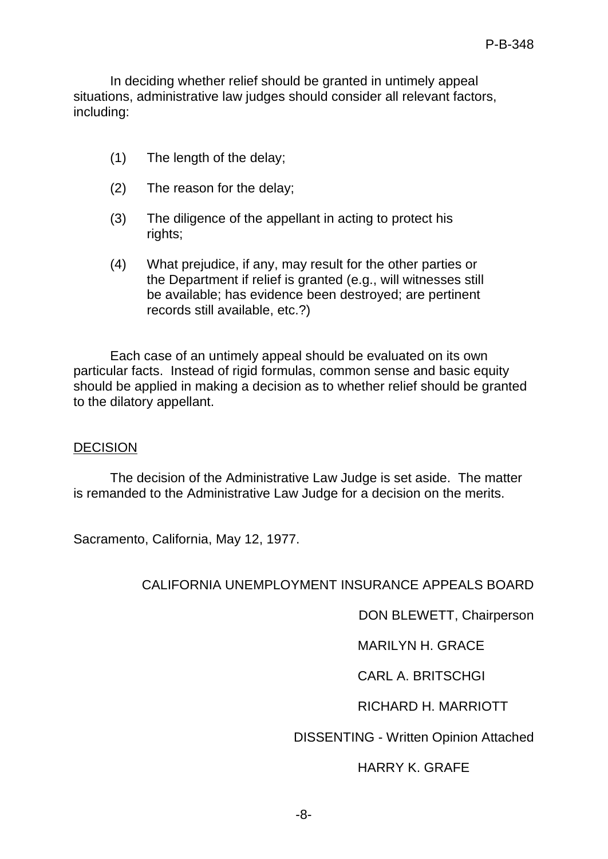In deciding whether relief should be granted in untimely appeal situations, administrative law judges should consider all relevant factors, including:

- (1) The length of the delay;
- (2) The reason for the delay;
- (3) The diligence of the appellant in acting to protect his rights;
- (4) What prejudice, if any, may result for the other parties or the Department if relief is granted (e.g., will witnesses still be available; has evidence been destroyed; are pertinent records still available, etc.?)

Each case of an untimely appeal should be evaluated on its own particular facts. Instead of rigid formulas, common sense and basic equity should be applied in making a decision as to whether relief should be granted to the dilatory appellant.

## DECISION

The decision of the Administrative Law Judge is set aside. The matter is remanded to the Administrative Law Judge for a decision on the merits.

Sacramento, California, May 12, 1977.

## CALIFORNIA UNEMPLOYMENT INSURANCE APPEALS BOARD

DON BLEWETT, Chairperson

MARILYN H. GRACE

CARL A. BRITSCHGI

RICHARD H. MARRIOTT

DISSENTING - Written Opinion Attached

# HARRY K. GRAFE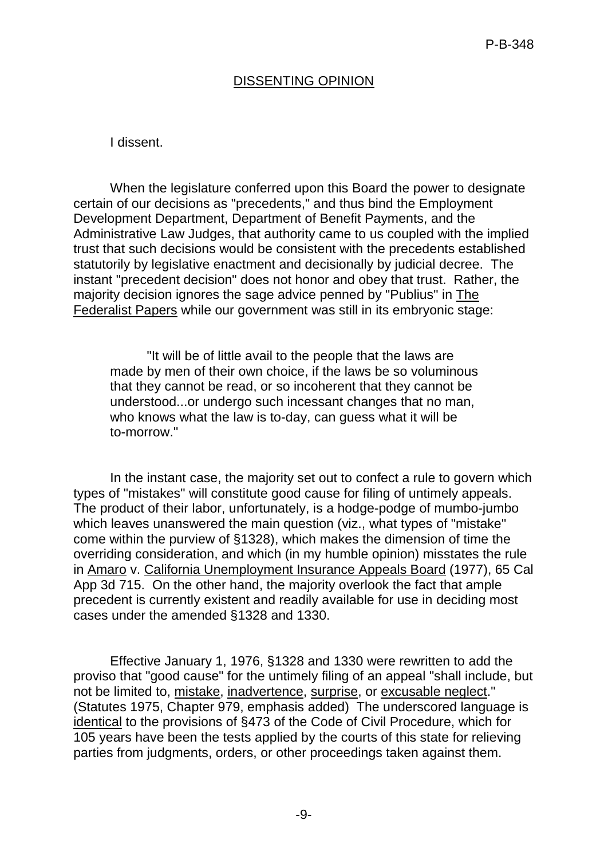# DISSENTING OPINION

### I dissent.

When the legislature conferred upon this Board the power to designate certain of our decisions as "precedents," and thus bind the Employment Development Department, Department of Benefit Payments, and the Administrative Law Judges, that authority came to us coupled with the implied trust that such decisions would be consistent with the precedents established statutorily by legislative enactment and decisionally by judicial decree. The instant "precedent decision" does not honor and obey that trust. Rather, the majority decision ignores the sage advice penned by "Publius" in The Federalist Papers while our government was still in its embryonic stage:

"It will be of little avail to the people that the laws are made by men of their own choice, if the laws be so voluminous that they cannot be read, or so incoherent that they cannot be understood...or undergo such incessant changes that no man, who knows what the law is to-day, can guess what it will be to-morrow."

In the instant case, the majority set out to confect a rule to govern which types of "mistakes" will constitute good cause for filing of untimely appeals. The product of their labor, unfortunately, is a hodge-podge of mumbo-jumbo which leaves unanswered the main question (viz., what types of "mistake" come within the purview of §1328), which makes the dimension of time the overriding consideration, and which (in my humble opinion) misstates the rule in Amaro v. California Unemployment Insurance Appeals Board (1977), 65 Cal App 3d 715. On the other hand, the majority overlook the fact that ample precedent is currently existent and readily available for use in deciding most cases under the amended §1328 and 1330.

Effective January 1, 1976, §1328 and 1330 were rewritten to add the proviso that "good cause" for the untimely filing of an appeal "shall include, but not be limited to, mistake, inadvertence, surprise, or excusable neglect." (Statutes 1975, Chapter 979, emphasis added) The underscored language is identical to the provisions of §473 of the Code of Civil Procedure, which for 105 years have been the tests applied by the courts of this state for relieving parties from judgments, orders, or other proceedings taken against them.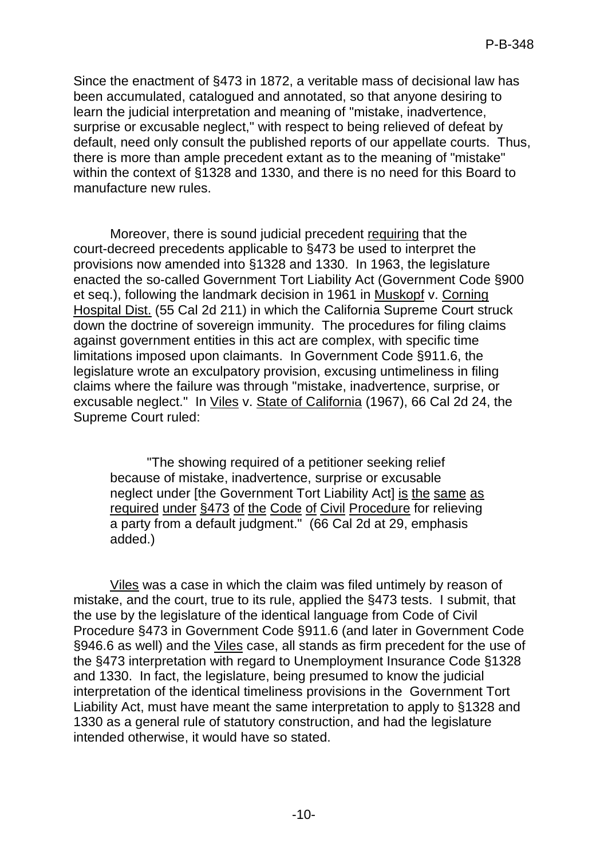Since the enactment of §473 in 1872, a veritable mass of decisional law has been accumulated, catalogued and annotated, so that anyone desiring to learn the judicial interpretation and meaning of "mistake, inadvertence, surprise or excusable neglect," with respect to being relieved of defeat by default, need only consult the published reports of our appellate courts. Thus, there is more than ample precedent extant as to the meaning of "mistake" within the context of §1328 and 1330, and there is no need for this Board to manufacture new rules.

Moreover, there is sound judicial precedent requiring that the court-decreed precedents applicable to §473 be used to interpret the provisions now amended into §1328 and 1330. In 1963, the legislature enacted the so-called Government Tort Liability Act (Government Code §900 et seq.), following the landmark decision in 1961 in Muskopf v. Corning Hospital Dist. (55 Cal 2d 211) in which the California Supreme Court struck down the doctrine of sovereign immunity. The procedures for filing claims against government entities in this act are complex, with specific time limitations imposed upon claimants. In Government Code §911.6, the legislature wrote an exculpatory provision, excusing untimeliness in filing claims where the failure was through "mistake, inadvertence, surprise, or excusable neglect." In Viles v. State of California (1967), 66 Cal 2d 24, the Supreme Court ruled:

"The showing required of a petitioner seeking relief because of mistake, inadvertence, surprise or excusable neglect under [the Government Tort Liability Act] is the same as required under §473 of the Code of Civil Procedure for relieving a party from a default judgment." (66 Cal 2d at 29, emphasis added.)

Viles was a case in which the claim was filed untimely by reason of mistake, and the court, true to its rule, applied the §473 tests. I submit, that the use by the legislature of the identical language from Code of Civil Procedure §473 in Government Code §911.6 (and later in Government Code §946.6 as well) and the Viles case, all stands as firm precedent for the use of the §473 interpretation with regard to Unemployment Insurance Code §1328 and 1330. In fact, the legislature, being presumed to know the judicial interpretation of the identical timeliness provisions in the Government Tort Liability Act, must have meant the same interpretation to apply to §1328 and 1330 as a general rule of statutory construction, and had the legislature intended otherwise, it would have so stated.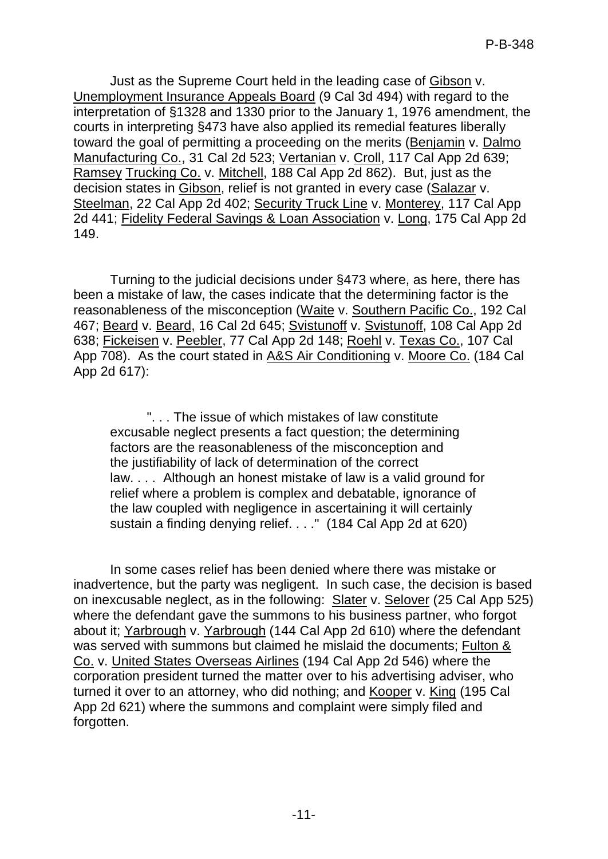Just as the Supreme Court held in the leading case of Gibson v. Unemployment Insurance Appeals Board (9 Cal 3d 494) with regard to the interpretation of §1328 and 1330 prior to the January 1, 1976 amendment, the courts in interpreting §473 have also applied its remedial features liberally toward the goal of permitting a proceeding on the merits (Benjamin v. Dalmo Manufacturing Co., 31 Cal 2d 523; Vertanian v. Croll, 117 Cal App 2d 639; Ramsey Trucking Co. v. Mitchell, 188 Cal App 2d 862). But, just as the decision states in Gibson, relief is not granted in every case (Salazar v. Steelman, 22 Cal App 2d 402; Security Truck Line v. Monterey, 117 Cal App 2d 441; Fidelity Federal Savings & Loan Association v. Long, 175 Cal App 2d 149.

Turning to the judicial decisions under §473 where, as here, there has been a mistake of law, the cases indicate that the determining factor is the reasonableness of the misconception (Waite v. Southern Pacific Co., 192 Cal 467; Beard v. Beard, 16 Cal 2d 645; Svistunoff v. Svistunoff, 108 Cal App 2d 638; Fickeisen v. Peebler, 77 Cal App 2d 148; Roehl v. Texas Co., 107 Cal App 708). As the court stated in A&S Air Conditioning v. Moore Co. (184 Cal App 2d 617):

". . . The issue of which mistakes of law constitute excusable neglect presents a fact question; the determining factors are the reasonableness of the misconception and the justifiability of lack of determination of the correct law. . . . Although an honest mistake of law is a valid ground for relief where a problem is complex and debatable, ignorance of the law coupled with negligence in ascertaining it will certainly sustain a finding denying relief. . . ." (184 Cal App 2d at 620)

In some cases relief has been denied where there was mistake or inadvertence, but the party was negligent. In such case, the decision is based on inexcusable neglect, as in the following: Slater v. Selover (25 Cal App 525) where the defendant gave the summons to his business partner, who forgot about it; Yarbrough v. Yarbrough (144 Cal App 2d 610) where the defendant was served with summons but claimed he mislaid the documents; Fulton & Co. v. United States Overseas Airlines (194 Cal App 2d 546) where the corporation president turned the matter over to his advertising adviser, who turned it over to an attorney, who did nothing; and Kooper v. King (195 Cal App 2d 621) where the summons and complaint were simply filed and forgotten.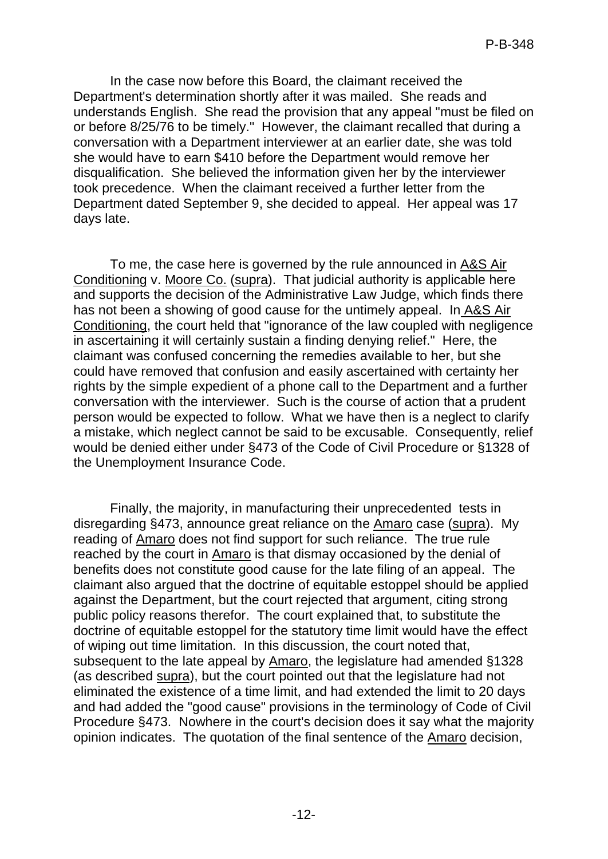In the case now before this Board, the claimant received the Department's determination shortly after it was mailed. She reads and understands English. She read the provision that any appeal "must be filed on or before 8/25/76 to be timely." However, the claimant recalled that during a conversation with a Department interviewer at an earlier date, she was told she would have to earn \$410 before the Department would remove her disqualification. She believed the information given her by the interviewer took precedence. When the claimant received a further letter from the Department dated September 9, she decided to appeal. Her appeal was 17 days late.

To me, the case here is governed by the rule announced in A&S Air Conditioning v. Moore Co. (supra). That judicial authority is applicable here and supports the decision of the Administrative Law Judge, which finds there has not been a showing of good cause for the untimely appeal. In A&S Air Conditioning, the court held that "ignorance of the law coupled with negligence in ascertaining it will certainly sustain a finding denying relief." Here, the claimant was confused concerning the remedies available to her, but she could have removed that confusion and easily ascertained with certainty her rights by the simple expedient of a phone call to the Department and a further conversation with the interviewer. Such is the course of action that a prudent person would be expected to follow. What we have then is a neglect to clarify a mistake, which neglect cannot be said to be excusable. Consequently, relief would be denied either under §473 of the Code of Civil Procedure or §1328 of the Unemployment Insurance Code.

Finally, the majority, in manufacturing their unprecedented tests in disregarding §473, announce great reliance on the Amaro case (supra). My reading of **Amaro** does not find support for such reliance. The true rule reached by the court in Amaro is that dismay occasioned by the denial of benefits does not constitute good cause for the late filing of an appeal. The claimant also argued that the doctrine of equitable estoppel should be applied against the Department, but the court rejected that argument, citing strong public policy reasons therefor. The court explained that, to substitute the doctrine of equitable estoppel for the statutory time limit would have the effect of wiping out time limitation. In this discussion, the court noted that, subsequent to the late appeal by Amaro, the legislature had amended §1328 (as described supra), but the court pointed out that the legislature had not eliminated the existence of a time limit, and had extended the limit to 20 days and had added the "good cause" provisions in the terminology of Code of Civil Procedure §473. Nowhere in the court's decision does it say what the majority opinion indicates. The quotation of the final sentence of the Amaro decision,